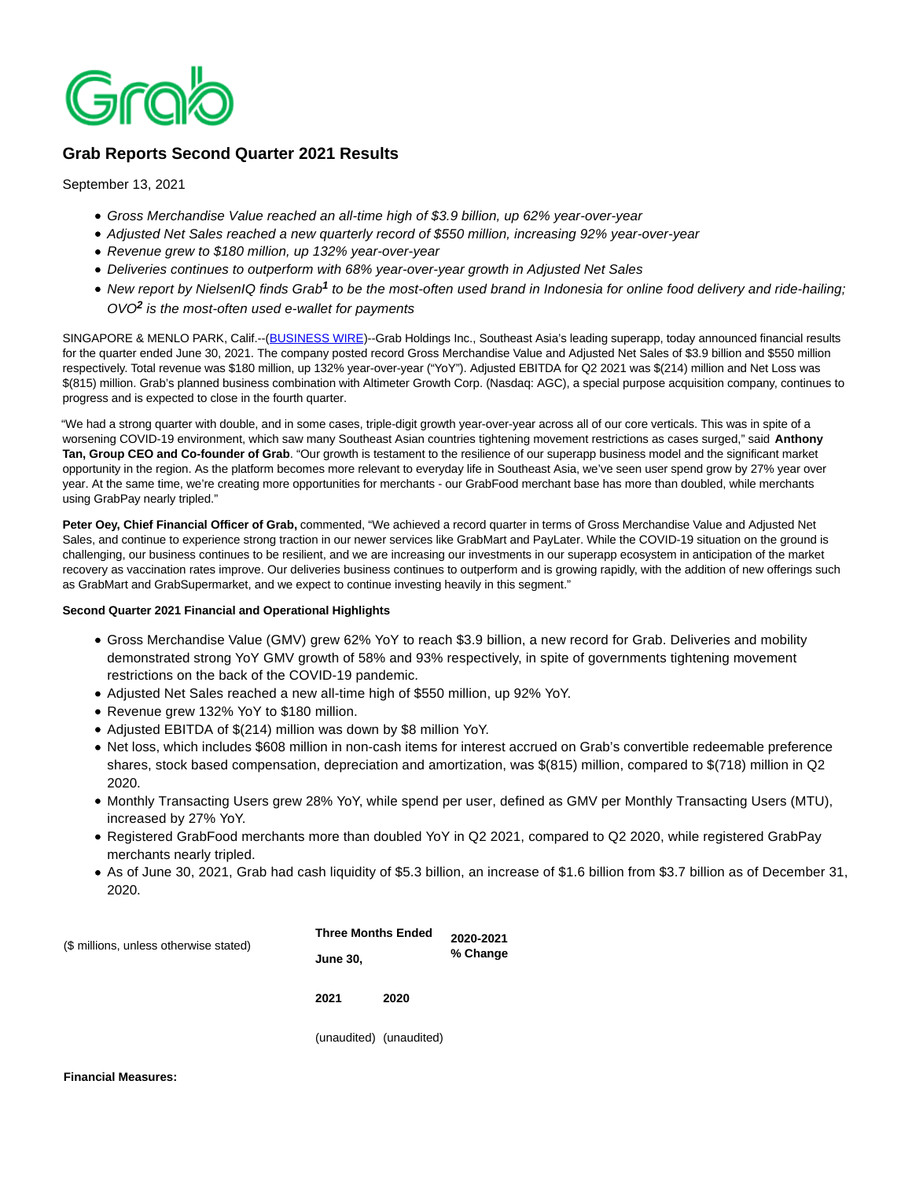

# **Grab Reports Second Quarter 2021 Results**

September 13, 2021

- Gross Merchandise Value reached an all-time high of \$3.9 billion, up 62% year-over-year
- Adjusted Net Sales reached a new quarterly record of \$550 million, increasing 92% year-over-year
- Revenue grew to \$180 million, up 132% year-over-year
- Deliveries continues to outperform with 68% year-over-year growth in Adjusted Net Sales
- New report by NielsenIQ finds Grab<sup>1</sup> to be the most-often used brand in Indonesia for online food delivery and ride-hailing; OVO**<sup>2</sup>** is the most-often used e-wallet for payments

SINGAPORE & MENLO PARK, Calif.--[\(BUSINESS WIRE\)-](https://www.businesswire.com/)-Grab Holdings Inc., Southeast Asia's leading superapp, today announced financial results for the quarter ended June 30, 2021. The company posted record Gross Merchandise Value and Adjusted Net Sales of \$3.9 billion and \$550 million respectively. Total revenue was \$180 million, up 132% year-over-year ("YoY"). Adjusted EBITDA for Q2 2021 was \$(214) million and Net Loss was \$(815) million. Grab's planned business combination with Altimeter Growth Corp. (Nasdaq: AGC), a special purpose acquisition company, continues to progress and is expected to close in the fourth quarter.

"We had a strong quarter with double, and in some cases, triple-digit growth year-over-year across all of our core verticals. This was in spite of a worsening COVID-19 environment, which saw many Southeast Asian countries tightening movement restrictions as cases surged," said **Anthony Tan, Group CEO and Co-founder of Grab**. "Our growth is testament to the resilience of our superapp business model and the significant market opportunity in the region. As the platform becomes more relevant to everyday life in Southeast Asia, we've seen user spend grow by 27% year over year. At the same time, we're creating more opportunities for merchants - our GrabFood merchant base has more than doubled, while merchants using GrabPay nearly tripled."

**Peter Oey, Chief Financial Officer of Grab,** commented, "We achieved a record quarter in terms of Gross Merchandise Value and Adjusted Net Sales, and continue to experience strong traction in our newer services like GrabMart and PayLater. While the COVID-19 situation on the ground is challenging, our business continues to be resilient, and we are increasing our investments in our superapp ecosystem in anticipation of the market recovery as vaccination rates improve. Our deliveries business continues to outperform and is growing rapidly, with the addition of new offerings such as GrabMart and GrabSupermarket, and we expect to continue investing heavily in this segment."

# **Second Quarter 2021 Financial and Operational Highlights**

- Gross Merchandise Value (GMV) grew 62% YoY to reach \$3.9 billion, a new record for Grab. Deliveries and mobility demonstrated strong YoY GMV growth of 58% and 93% respectively, in spite of governments tightening movement restrictions on the back of the COVID-19 pandemic.
- Adjusted Net Sales reached a new all-time high of \$550 million, up 92% YoY.
- Revenue grew 132% YoY to \$180 million.
- Adjusted EBITDA of \$(214) million was down by \$8 million YoY.
- Net loss, which includes \$608 million in non-cash items for interest accrued on Grab's convertible redeemable preference shares, stock based compensation, depreciation and amortization, was \$(815) million, compared to \$(718) million in Q2 2020.
- Monthly Transacting Users grew 28% YoY, while spend per user, defined as GMV per Monthly Transacting Users (MTU), increased by 27% YoY.
- Registered GrabFood merchants more than doubled YoY in Q2 2021, compared to Q2 2020, while registered GrabPay merchants nearly tripled.
- As of June 30, 2021, Grab had cash liquidity of \$5.3 billion, an increase of \$1.6 billion from \$3.7 billion as of December 31, 2020.

| (\$ millions, unless otherwise stated) | <b>Three Months Ended</b> |                         | 2020-2021 |
|----------------------------------------|---------------------------|-------------------------|-----------|
|                                        | <b>June 30,</b>           |                         | % Change  |
|                                        | 2021                      | 2020                    |           |
|                                        |                           | (unaudited) (unaudited) |           |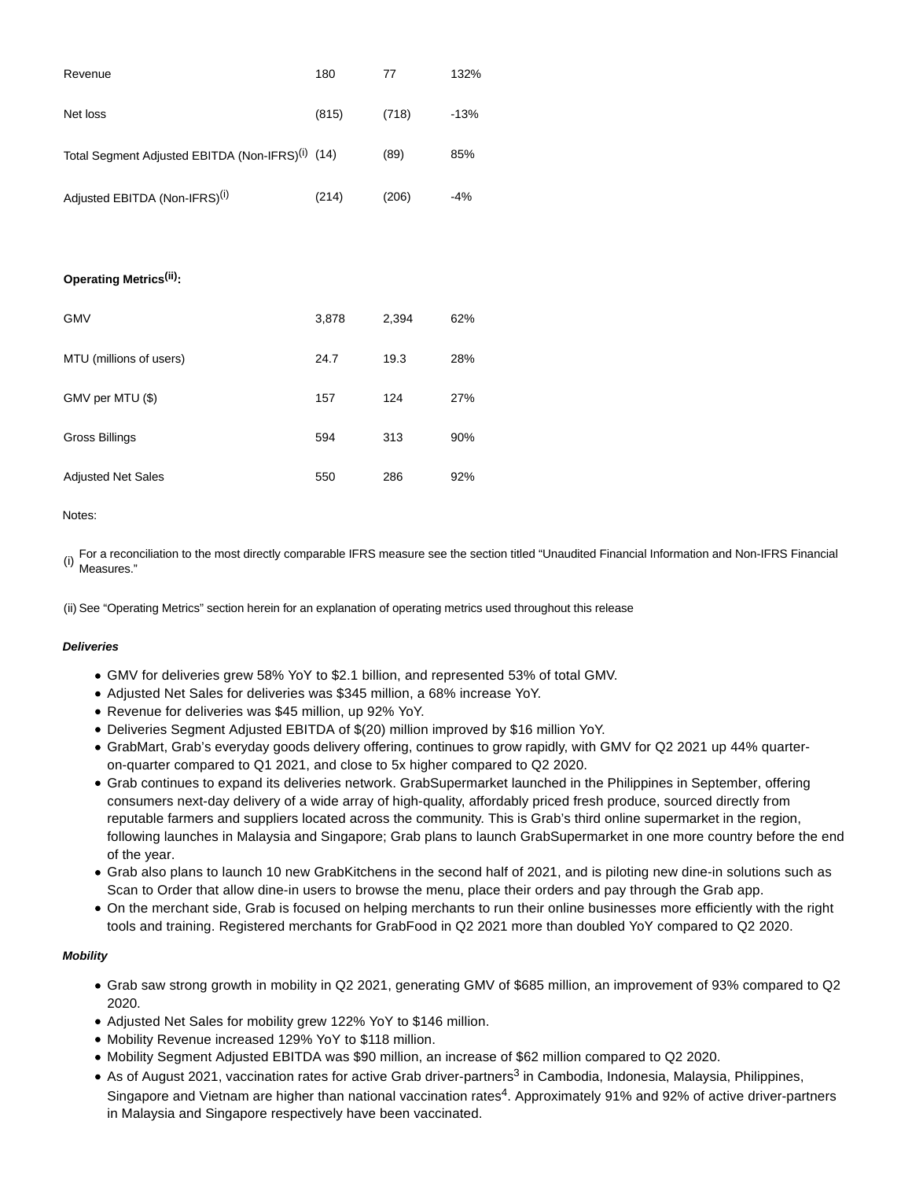| Revenue                                                      | 180   | 77    | 132%   |
|--------------------------------------------------------------|-------|-------|--------|
| Net loss                                                     | (815) | (718) | $-13%$ |
| Total Segment Adjusted EBITDA (Non-IFRS) <sup>(i)</sup> (14) |       | (89)  | 85%    |
| Adjusted EBITDA (Non-IFRS) <sup>(i)</sup>                    | (214) | (206) | $-4%$  |
|                                                              |       |       |        |
| Operating Metrics <sup>(ii)</sup> :                          |       |       |        |
| <b>GMV</b>                                                   | 3,878 | 2,394 | 62%    |
| MTU (millions of users)                                      | 24.7  | 19.3  | 28%    |
| GMV per MTU (\$)                                             | 157   | 124   | 27%    |
| <b>Gross Billings</b>                                        | 594   | 313   | 90%    |
| <b>Adjusted Net Sales</b>                                    | 550   | 286   | 92%    |

# Notes:

(i) For a reconciliation to the most directly comparable IFRS measure see the section titled "Unaudited Financial Information and Non-IFRS Financial Measures."

(ii) See "Operating Metrics" section herein for an explanation of operating metrics used throughout this release

# **Deliveries**

- GMV for deliveries grew 58% YoY to \$2.1 billion, and represented 53% of total GMV.
- Adjusted Net Sales for deliveries was \$345 million, a 68% increase YoY.
- Revenue for deliveries was \$45 million, up 92% YoY.
- Deliveries Segment Adjusted EBITDA of \$(20) million improved by \$16 million YoY.
- GrabMart, Grab's everyday goods delivery offering, continues to grow rapidly, with GMV for Q2 2021 up 44% quarteron-quarter compared to Q1 2021, and close to 5x higher compared to Q2 2020.
- Grab continues to expand its deliveries network. GrabSupermarket launched in the Philippines in September, offering consumers next-day delivery of a wide array of high-quality, affordably priced fresh produce, sourced directly from reputable farmers and suppliers located across the community. This is Grab's third online supermarket in the region, following launches in Malaysia and Singapore; Grab plans to launch GrabSupermarket in one more country before the end of the year.
- Grab also plans to launch 10 new GrabKitchens in the second half of 2021, and is piloting new dine-in solutions such as Scan to Order that allow dine-in users to browse the menu, place their orders and pay through the Grab app.
- On the merchant side, Grab is focused on helping merchants to run their online businesses more efficiently with the right tools and training. Registered merchants for GrabFood in Q2 2021 more than doubled YoY compared to Q2 2020.

# **Mobility**

- Grab saw strong growth in mobility in Q2 2021, generating GMV of \$685 million, an improvement of 93% compared to Q2 2020.
- Adjusted Net Sales for mobility grew 122% YoY to \$146 million.
- Mobility Revenue increased 129% YoY to \$118 million.
- Mobility Segment Adjusted EBITDA was \$90 million, an increase of \$62 million compared to Q2 2020.
- As of August 2021, vaccination rates for active Grab driver-partners<sup>3</sup> in Cambodia, Indonesia, Malaysia, Philippines, Singapore and Vietnam are higher than national vaccination rates<sup>4</sup>. Approximately 91% and 92% of active driver-partners in Malaysia and Singapore respectively have been vaccinated.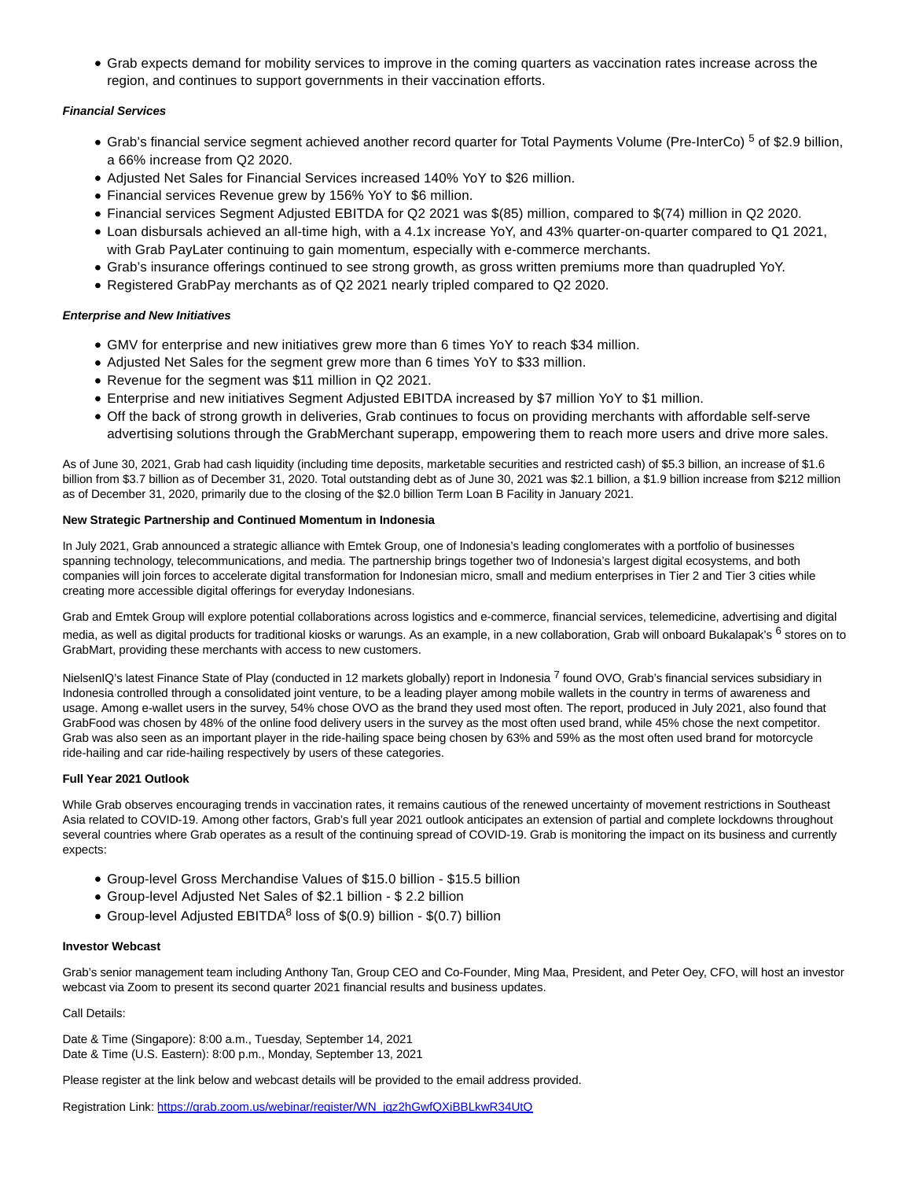Grab expects demand for mobility services to improve in the coming quarters as vaccination rates increase across the region, and continues to support governments in their vaccination efforts.

# **Financial Services**

- Grab's financial service segment achieved another record quarter for Total Payments Volume (Pre-InterCo)<sup>5</sup> of \$2.9 billion, a 66% increase from Q2 2020.
- Adjusted Net Sales for Financial Services increased 140% YoY to \$26 million.
- Financial services Revenue grew by 156% YoY to \$6 million.
- Financial services Segment Adjusted EBITDA for Q2 2021 was \$(85) million, compared to \$(74) million in Q2 2020.
- Loan disbursals achieved an all-time high, with a 4.1x increase YoY, and 43% quarter-on-quarter compared to Q1 2021, with Grab PayLater continuing to gain momentum, especially with e-commerce merchants.
- Grab's insurance offerings continued to see strong growth, as gross written premiums more than quadrupled YoY.
- Registered GrabPay merchants as of Q2 2021 nearly tripled compared to Q2 2020.

# **Enterprise and New Initiatives**

- GMV for enterprise and new initiatives grew more than 6 times YoY to reach \$34 million.
- Adjusted Net Sales for the segment grew more than 6 times YoY to \$33 million.
- Revenue for the segment was \$11 million in Q2 2021.
- Enterprise and new initiatives Segment Adjusted EBITDA increased by \$7 million YoY to \$1 million.
- Off the back of strong growth in deliveries, Grab continues to focus on providing merchants with affordable self-serve advertising solutions through the GrabMerchant superapp, empowering them to reach more users and drive more sales.

As of June 30, 2021, Grab had cash liquidity (including time deposits, marketable securities and restricted cash) of \$5.3 billion, an increase of \$1.6 billion from \$3.7 billion as of December 31, 2020. Total outstanding debt as of June 30, 2021 was \$2.1 billion, a \$1.9 billion increase from \$212 million as of December 31, 2020, primarily due to the closing of the \$2.0 billion Term Loan B Facility in January 2021.

# **New Strategic Partnership and Continued Momentum in Indonesia**

In July 2021, Grab announced a strategic alliance with Emtek Group, one of Indonesia's leading conglomerates with a portfolio of businesses spanning technology, telecommunications, and media. The partnership brings together two of Indonesia's largest digital ecosystems, and both companies will join forces to accelerate digital transformation for Indonesian micro, small and medium enterprises in Tier 2 and Tier 3 cities while creating more accessible digital offerings for everyday Indonesians.

Grab and Emtek Group will explore potential collaborations across logistics and e-commerce, financial services, telemedicine, advertising and digital media, as well as digital products for traditional kiosks or warungs. As an example, in a new collaboration, Grab will onboard Bukalapak's <sup>6</sup> stores on to GrabMart, providing these merchants with access to new customers.

NielsenIQ's latest Finance State of Play (conducted in 12 markets globally) report in Indonesia 7 found OVO, Grab's financial services subsidiary in Indonesia controlled through a consolidated joint venture, to be a leading player among mobile wallets in the country in terms of awareness and usage. Among e-wallet users in the survey, 54% chose OVO as the brand they used most often. The report, produced in July 2021, also found that GrabFood was chosen by 48% of the online food delivery users in the survey as the most often used brand, while 45% chose the next competitor. Grab was also seen as an important player in the ride-hailing space being chosen by 63% and 59% as the most often used brand for motorcycle ride-hailing and car ride-hailing respectively by users of these categories.

# **Full Year 2021 Outlook**

While Grab observes encouraging trends in vaccination rates, it remains cautious of the renewed uncertainty of movement restrictions in Southeast Asia related to COVID-19. Among other factors, Grab's full year 2021 outlook anticipates an extension of partial and complete lockdowns throughout several countries where Grab operates as a result of the continuing spread of COVID-19. Grab is monitoring the impact on its business and currently expects:

- Group-level Gross Merchandise Values of \$15.0 billion \$15.5 billion
- Group-level Adjusted Net Sales of \$2.1 billion \$ 2.2 billion
- Group-level Adjusted EBITDA<sup>8</sup> loss of \$(0.9) billion \$(0.7) billion

# **Investor Webcast**

Grab's senior management team including Anthony Tan, Group CEO and Co-Founder, Ming Maa, President, and Peter Oey, CFO, will host an investor webcast via Zoom to present its second quarter 2021 financial results and business updates.

Call Details:

Date & Time (Singapore): 8:00 a.m., Tuesday, September 14, 2021 Date & Time (U.S. Eastern): 8:00 p.m., Monday, September 13, 2021

Please register at the link below and webcast details will be provided to the email address provided.

Registration Link: [https://grab.zoom.us/webinar/register/WN\\_jqz2hGwfQXiBBLkwR34UtQ](https://cts.businesswire.com/ct/CT?id=smartlink&url=https%3A%2F%2Fgrab.zoom.us%2Fwebinar%2Fregister%2FWN_jqz2hGwfQXiBBLkwR34UtQ&esheet=52491019&newsitemid=20210913005880&lan=en-US&anchor=https%3A%2F%2Fgrab.zoom.us%2Fwebinar%2Fregister%2FWN_jqz2hGwfQXiBBLkwR34UtQ&index=1&md5=0a0237fb69a7af9c34117a320c4583d7)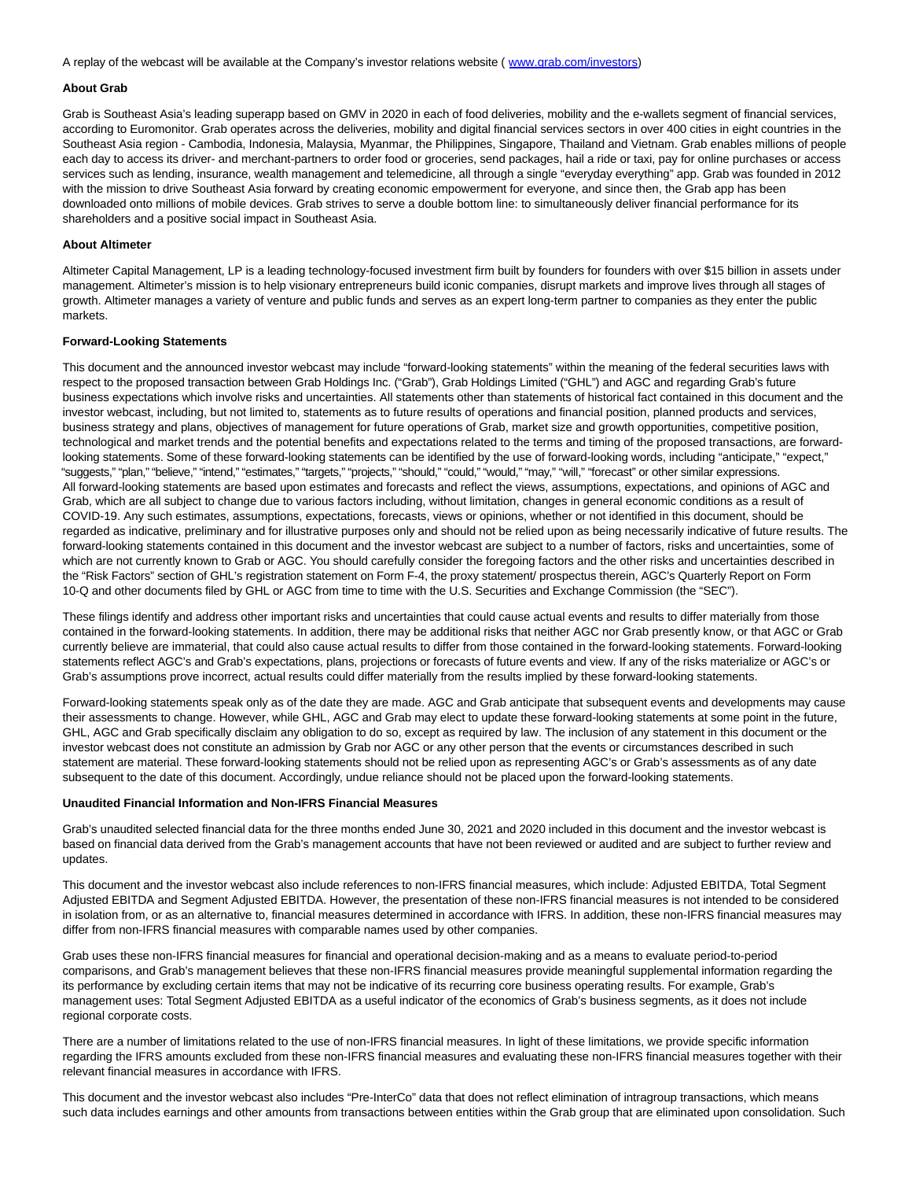A replay of the webcast will be available at the Company's investor relations website ( [www.grab.com/investors\)](https://cts.businesswire.com/ct/CT?id=smartlink&url=http%3A%2F%2Fwww.grab.com%2Finvestors&esheet=52491019&newsitemid=20210913005880&lan=en-US&anchor=www.grab.com%2Finvestors&index=2&md5=b5674f4ec5a9f8caa6cdeb2475c137f4)

#### **About Grab**

Grab is Southeast Asia's leading superapp based on GMV in 2020 in each of food deliveries, mobility and the e-wallets segment of financial services, according to Euromonitor. Grab operates across the deliveries, mobility and digital financial services sectors in over 400 cities in eight countries in the Southeast Asia region - Cambodia, Indonesia, Malaysia, Myanmar, the Philippines, Singapore, Thailand and Vietnam. Grab enables millions of people each day to access its driver- and merchant-partners to order food or groceries, send packages, hail a ride or taxi, pay for online purchases or access services such as lending, insurance, wealth management and telemedicine, all through a single "everyday everything" app. Grab was founded in 2012 with the mission to drive Southeast Asia forward by creating economic empowerment for everyone, and since then, the Grab app has been downloaded onto millions of mobile devices. Grab strives to serve a double bottom line: to simultaneously deliver financial performance for its shareholders and a positive social impact in Southeast Asia.

## **About Altimeter**

Altimeter Capital Management, LP is a leading technology-focused investment firm built by founders for founders with over \$15 billion in assets under management. Altimeter's mission is to help visionary entrepreneurs build iconic companies, disrupt markets and improve lives through all stages of growth. Altimeter manages a variety of venture and public funds and serves as an expert long-term partner to companies as they enter the public markets.

#### **Forward-Looking Statements**

This document and the announced investor webcast may include "forward-looking statements" within the meaning of the federal securities laws with respect to the proposed transaction between Grab Holdings Inc. ("Grab"), Grab Holdings Limited ("GHL") and AGC and regarding Grab's future business expectations which involve risks and uncertainties. All statements other than statements of historical fact contained in this document and the investor webcast, including, but not limited to, statements as to future results of operations and financial position, planned products and services, business strategy and plans, objectives of management for future operations of Grab, market size and growth opportunities, competitive position, technological and market trends and the potential benefits and expectations related to the terms and timing of the proposed transactions, are forwardlooking statements. Some of these forward-looking statements can be identified by the use of forward-looking words, including "anticipate," "expect," "suggests," "plan," "believe," "intend," "estimates," "targets," "projects," "should," "could," "would," "may," "will," "forecast" or other similar expressions. All forward-looking statements are based upon estimates and forecasts and reflect the views, assumptions, expectations, and opinions of AGC and Grab, which are all subject to change due to various factors including, without limitation, changes in general economic conditions as a result of COVID-19. Any such estimates, assumptions, expectations, forecasts, views or opinions, whether or not identified in this document, should be regarded as indicative, preliminary and for illustrative purposes only and should not be relied upon as being necessarily indicative of future results. The forward-looking statements contained in this document and the investor webcast are subject to a number of factors, risks and uncertainties, some of which are not currently known to Grab or AGC. You should carefully consider the foregoing factors and the other risks and uncertainties described in the "Risk Factors" section of GHL's registration statement on Form F-4, the proxy statement/ prospectus therein, AGC's Quarterly Report on Form 10-Q and other documents filed by GHL or AGC from time to time with the U.S. Securities and Exchange Commission (the "SEC").

These filings identify and address other important risks and uncertainties that could cause actual events and results to differ materially from those contained in the forward-looking statements. In addition, there may be additional risks that neither AGC nor Grab presently know, or that AGC or Grab currently believe are immaterial, that could also cause actual results to differ from those contained in the forward-looking statements. Forward-looking statements reflect AGC's and Grab's expectations, plans, projections or forecasts of future events and view. If any of the risks materialize or AGC's or Grab's assumptions prove incorrect, actual results could differ materially from the results implied by these forward-looking statements.

Forward-looking statements speak only as of the date they are made. AGC and Grab anticipate that subsequent events and developments may cause their assessments to change. However, while GHL, AGC and Grab may elect to update these forward-looking statements at some point in the future, GHL, AGC and Grab specifically disclaim any obligation to do so, except as required by law. The inclusion of any statement in this document or the investor webcast does not constitute an admission by Grab nor AGC or any other person that the events or circumstances described in such statement are material. These forward-looking statements should not be relied upon as representing AGC's or Grab's assessments as of any date subsequent to the date of this document. Accordingly, undue reliance should not be placed upon the forward-looking statements.

#### **Unaudited Financial Information and Non-IFRS Financial Measures**

Grab's unaudited selected financial data for the three months ended June 30, 2021 and 2020 included in this document and the investor webcast is based on financial data derived from the Grab's management accounts that have not been reviewed or audited and are subject to further review and updates.

This document and the investor webcast also include references to non-IFRS financial measures, which include: Adjusted EBITDA, Total Segment Adjusted EBITDA and Segment Adjusted EBITDA. However, the presentation of these non-IFRS financial measures is not intended to be considered in isolation from, or as an alternative to, financial measures determined in accordance with IFRS. In addition, these non-IFRS financial measures may differ from non-IFRS financial measures with comparable names used by other companies.

Grab uses these non-IFRS financial measures for financial and operational decision-making and as a means to evaluate period-to-period comparisons, and Grab's management believes that these non-IFRS financial measures provide meaningful supplemental information regarding the its performance by excluding certain items that may not be indicative of its recurring core business operating results. For example, Grab's management uses: Total Segment Adjusted EBITDA as a useful indicator of the economics of Grab's business segments, as it does not include regional corporate costs.

There are a number of limitations related to the use of non-IFRS financial measures. In light of these limitations, we provide specific information regarding the IFRS amounts excluded from these non-IFRS financial measures and evaluating these non-IFRS financial measures together with their relevant financial measures in accordance with IFRS.

This document and the investor webcast also includes "Pre-InterCo" data that does not reflect elimination of intragroup transactions, which means such data includes earnings and other amounts from transactions between entities within the Grab group that are eliminated upon consolidation. Such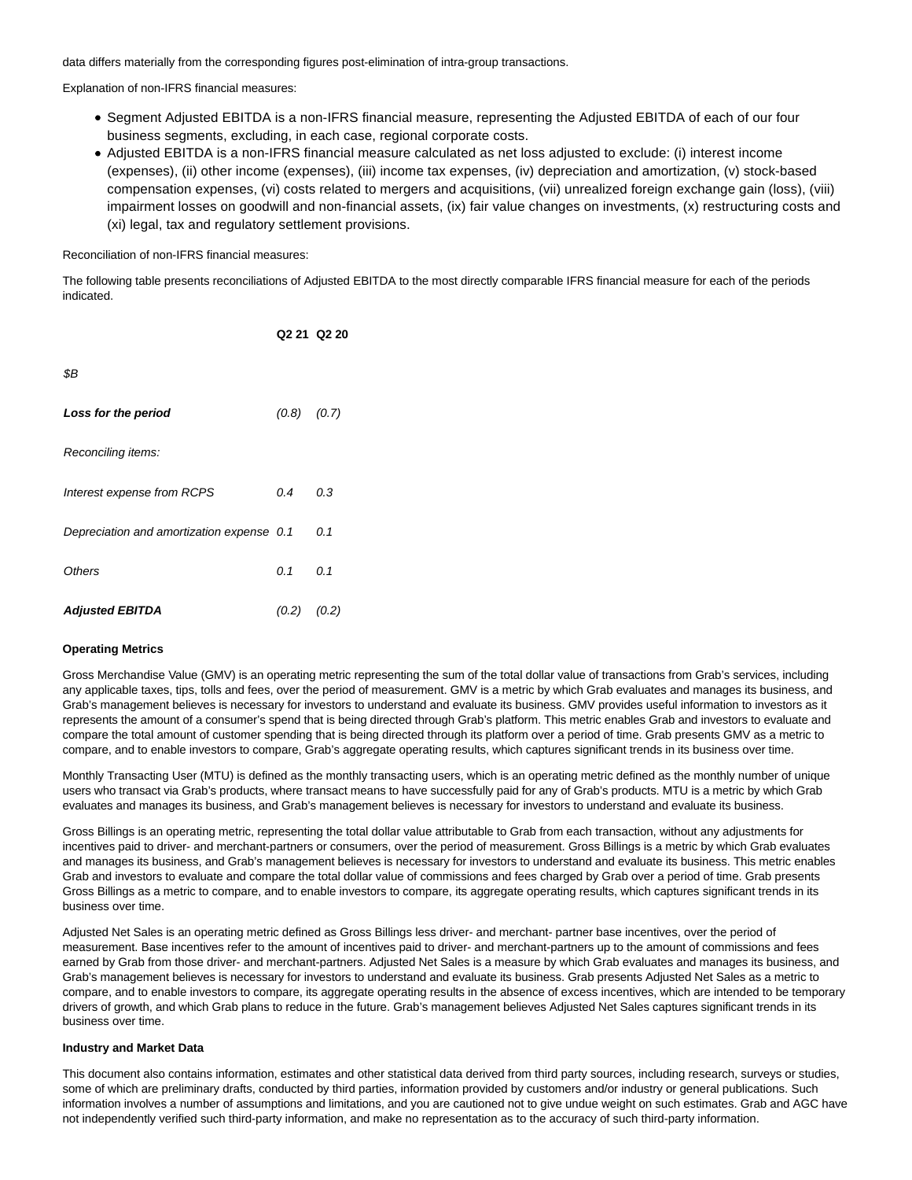data differs materially from the corresponding figures post-elimination of intra-group transactions.

Explanation of non-IFRS financial measures:

- Segment Adjusted EBITDA is a non-IFRS financial measure, representing the Adjusted EBITDA of each of our four business segments, excluding, in each case, regional corporate costs.
- Adjusted EBITDA is a non-IFRS financial measure calculated as net loss adjusted to exclude: (i) interest income (expenses), (ii) other income (expenses), (iii) income tax expenses, (iv) depreciation and amortization, (v) stock-based compensation expenses, (vi) costs related to mergers and acquisitions, (vii) unrealized foreign exchange gain (loss), (viii) impairment losses on goodwill and non-financial assets, (ix) fair value changes on investments, (x) restructuring costs and (xi) legal, tax and regulatory settlement provisions.

Reconciliation of non-IFRS financial measures:

The following table presents reconciliations of Adjusted EBITDA to the most directly comparable IFRS financial measure for each of the periods indicated.

|                                           | Q2 21 Q2 20     |     |
|-------------------------------------------|-----------------|-----|
| \$B                                       |                 |     |
| Loss for the period                       | $(0.8)$ $(0.7)$ |     |
| Reconciling items:                        |                 |     |
| Interest expense from RCPS                | 0.4             | 0.3 |
| Depreciation and amortization expense 0.1 |                 | 0.1 |
| <b>Others</b>                             | $0.1 \quad 0.1$ |     |
| <b>Adjusted EBITDA</b>                    | $(0.2)$ $(0.2)$ |     |

# **Operating Metrics**

Gross Merchandise Value (GMV) is an operating metric representing the sum of the total dollar value of transactions from Grab's services, including any applicable taxes, tips, tolls and fees, over the period of measurement. GMV is a metric by which Grab evaluates and manages its business, and Grab's management believes is necessary for investors to understand and evaluate its business. GMV provides useful information to investors as it represents the amount of a consumer's spend that is being directed through Grab's platform. This metric enables Grab and investors to evaluate and compare the total amount of customer spending that is being directed through its platform over a period of time. Grab presents GMV as a metric to compare, and to enable investors to compare, Grab's aggregate operating results, which captures significant trends in its business over time.

Monthly Transacting User (MTU) is defined as the monthly transacting users, which is an operating metric defined as the monthly number of unique users who transact via Grab's products, where transact means to have successfully paid for any of Grab's products. MTU is a metric by which Grab evaluates and manages its business, and Grab's management believes is necessary for investors to understand and evaluate its business.

Gross Billings is an operating metric, representing the total dollar value attributable to Grab from each transaction, without any adjustments for incentives paid to driver- and merchant-partners or consumers, over the period of measurement. Gross Billings is a metric by which Grab evaluates and manages its business, and Grab's management believes is necessary for investors to understand and evaluate its business. This metric enables Grab and investors to evaluate and compare the total dollar value of commissions and fees charged by Grab over a period of time. Grab presents Gross Billings as a metric to compare, and to enable investors to compare, its aggregate operating results, which captures significant trends in its business over time.

Adjusted Net Sales is an operating metric defined as Gross Billings less driver- and merchant- partner base incentives, over the period of measurement. Base incentives refer to the amount of incentives paid to driver- and merchant-partners up to the amount of commissions and fees earned by Grab from those driver- and merchant-partners. Adjusted Net Sales is a measure by which Grab evaluates and manages its business, and Grab's management believes is necessary for investors to understand and evaluate its business. Grab presents Adjusted Net Sales as a metric to compare, and to enable investors to compare, its aggregate operating results in the absence of excess incentives, which are intended to be temporary drivers of growth, and which Grab plans to reduce in the future. Grab's management believes Adjusted Net Sales captures significant trends in its business over time.

# **Industry and Market Data**

This document also contains information, estimates and other statistical data derived from third party sources, including research, surveys or studies, some of which are preliminary drafts, conducted by third parties, information provided by customers and/or industry or general publications. Such information involves a number of assumptions and limitations, and you are cautioned not to give undue weight on such estimates. Grab and AGC have not independently verified such third-party information, and make no representation as to the accuracy of such third-party information.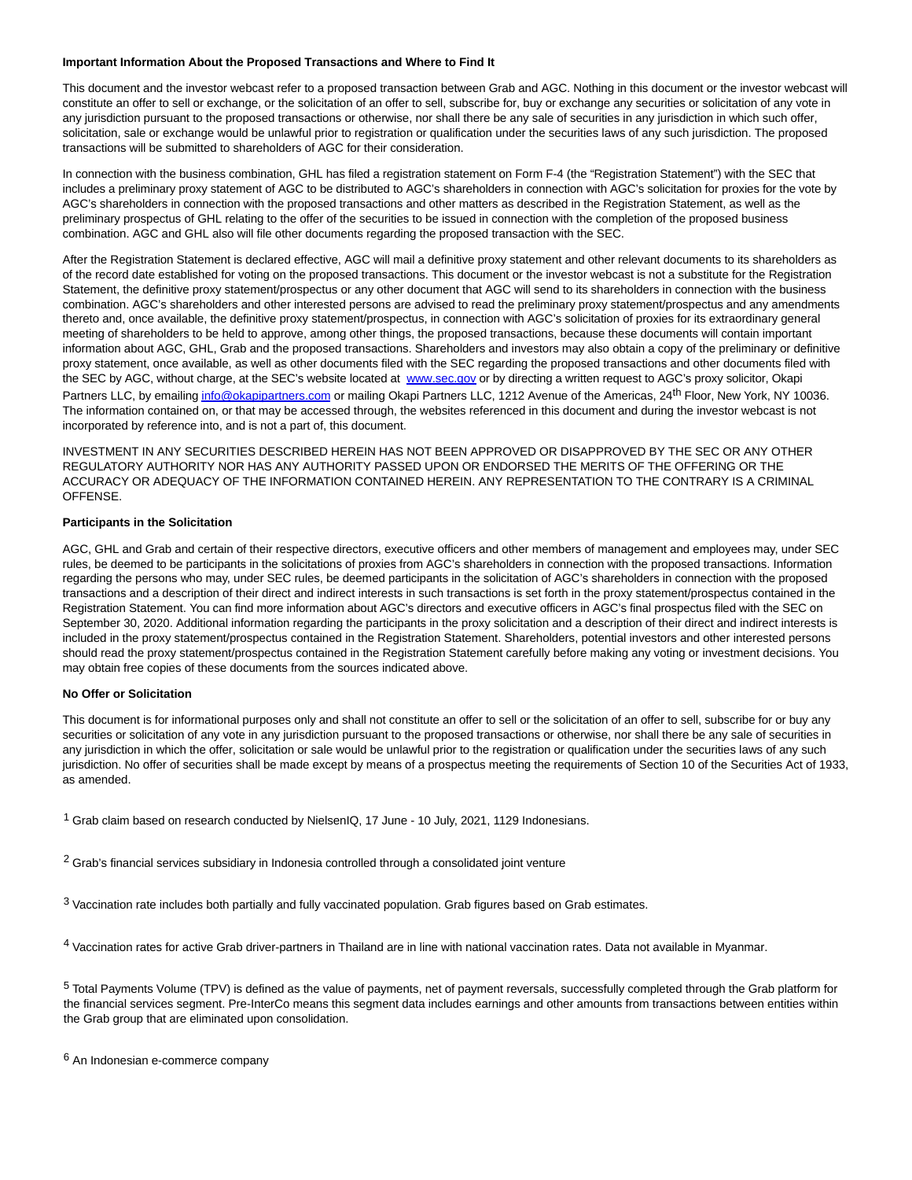#### **Important Information About the Proposed Transactions and Where to Find It**

This document and the investor webcast refer to a proposed transaction between Grab and AGC. Nothing in this document or the investor webcast will constitute an offer to sell or exchange, or the solicitation of an offer to sell, subscribe for, buy or exchange any securities or solicitation of any vote in any jurisdiction pursuant to the proposed transactions or otherwise, nor shall there be any sale of securities in any jurisdiction in which such offer, solicitation, sale or exchange would be unlawful prior to registration or qualification under the securities laws of any such jurisdiction. The proposed transactions will be submitted to shareholders of AGC for their consideration.

In connection with the business combination, GHL has filed a registration statement on Form F-4 (the "Registration Statement") with the SEC that includes a preliminary proxy statement of AGC to be distributed to AGC's shareholders in connection with AGC's solicitation for proxies for the vote by AGC's shareholders in connection with the proposed transactions and other matters as described in the Registration Statement, as well as the preliminary prospectus of GHL relating to the offer of the securities to be issued in connection with the completion of the proposed business combination. AGC and GHL also will file other documents regarding the proposed transaction with the SEC.

After the Registration Statement is declared effective, AGC will mail a definitive proxy statement and other relevant documents to its shareholders as of the record date established for voting on the proposed transactions. This document or the investor webcast is not a substitute for the Registration Statement, the definitive proxy statement/prospectus or any other document that AGC will send to its shareholders in connection with the business combination. AGC's shareholders and other interested persons are advised to read the preliminary proxy statement/prospectus and any amendments thereto and, once available, the definitive proxy statement/prospectus, in connection with AGC's solicitation of proxies for its extraordinary general meeting of shareholders to be held to approve, among other things, the proposed transactions, because these documents will contain important information about AGC, GHL, Grab and the proposed transactions. Shareholders and investors may also obtain a copy of the preliminary or definitive proxy statement, once available, as well as other documents filed with the SEC regarding the proposed transactions and other documents filed with the SEC by AGC, without charge, at the SEC's website located at [www.sec.gov o](https://cts.businesswire.com/ct/CT?id=smartlink&url=http%3A%2F%2Fwww.sec.gov&esheet=52491019&newsitemid=20210913005880&lan=en-US&anchor=www.sec.gov&index=3&md5=ed79ae9d3bcee403541e44ae2882e876)r by directing a written request to AGC's proxy solicitor, Okapi Partners LLC, by emailing *info@okapipartners.com* or mailing Okapi Partners LLC, 1212 Avenue of the Americas, 24<sup>th</sup> Floor, New York, NY 10036. The information contained on, or that may be accessed through, the websites referenced in this document and during the investor webcast is not incorporated by reference into, and is not a part of, this document.

INVESTMENT IN ANY SECURITIES DESCRIBED HEREIN HAS NOT BEEN APPROVED OR DISAPPROVED BY THE SEC OR ANY OTHER REGULATORY AUTHORITY NOR HAS ANY AUTHORITY PASSED UPON OR ENDORSED THE MERITS OF THE OFFERING OR THE ACCURACY OR ADEQUACY OF THE INFORMATION CONTAINED HEREIN. ANY REPRESENTATION TO THE CONTRARY IS A CRIMINAL OFFENSE.

## **Participants in the Solicitation**

AGC, GHL and Grab and certain of their respective directors, executive officers and other members of management and employees may, under SEC rules, be deemed to be participants in the solicitations of proxies from AGC's shareholders in connection with the proposed transactions. Information regarding the persons who may, under SEC rules, be deemed participants in the solicitation of AGC's shareholders in connection with the proposed transactions and a description of their direct and indirect interests in such transactions is set forth in the proxy statement/prospectus contained in the Registration Statement. You can find more information about AGC's directors and executive officers in AGC's final prospectus filed with the SEC on September 30, 2020. Additional information regarding the participants in the proxy solicitation and a description of their direct and indirect interests is included in the proxy statement/prospectus contained in the Registration Statement. Shareholders, potential investors and other interested persons should read the proxy statement/prospectus contained in the Registration Statement carefully before making any voting or investment decisions. You may obtain free copies of these documents from the sources indicated above.

# **No Offer or Solicitation**

This document is for informational purposes only and shall not constitute an offer to sell or the solicitation of an offer to sell, subscribe for or buy any securities or solicitation of any vote in any jurisdiction pursuant to the proposed transactions or otherwise, nor shall there be any sale of securities in any jurisdiction in which the offer, solicitation or sale would be unlawful prior to the registration or qualification under the securities laws of any such jurisdiction. No offer of securities shall be made except by means of a prospectus meeting the requirements of Section 10 of the Securities Act of 1933, as amended.

 $1$  Grab claim based on research conducted by NielsenIQ, 17 June - 10 July, 2021, 1129 Indonesians.

<sup>2</sup> Grab's financial services subsidiary in Indonesia controlled through a consolidated joint venture

 $3$  Vaccination rate includes both partially and fully vaccinated population. Grab figures based on Grab estimates.

4 Vaccination rates for active Grab driver-partners in Thailand are in line with national vaccination rates. Data not available in Myanmar.

<sup>5</sup> Total Payments Volume (TPV) is defined as the value of payments, net of payment reversals, successfully completed through the Grab platform for the financial services segment. Pre-InterCo means this segment data includes earnings and other amounts from transactions between entities within the Grab group that are eliminated upon consolidation.

6 An Indonesian e-commerce company